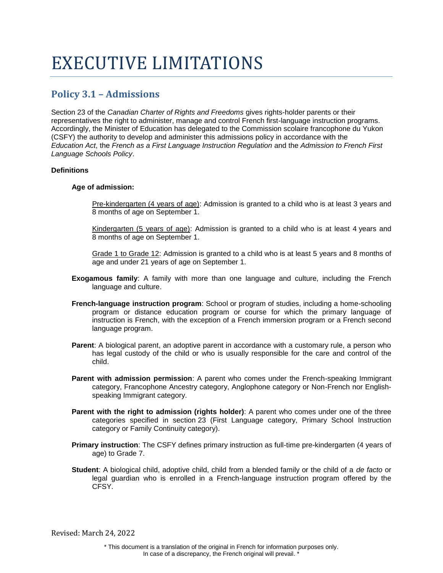# EXECUTIVE LIMITATIONS

# **Policy 3.1 – Admissions**

Section 23 of the *Canadian Charter of Rights and Freedoms* gives rights-holder parents or their representatives the right to administer, manage and control French first-language instruction programs. Accordingly, the Minister of Education has delegated to the Commission scolaire francophone du Yukon (CSFY) the authority to develop and administer this admissions policy in accordance with the *Education Act*, the *French as a First Language Instruction Regulation* and the *Admission to French First Language Schools Policy*.

# **Definitions**

#### **Age of admission:**

Pre-kindergarten (4 years of age): Admission is granted to a child who is at least 3 years and 8 months of age on September 1.

Kindergarten (5 years of age): Admission is granted to a child who is at least 4 years and 8 months of age on September 1.

Grade 1 to Grade 12: Admission is granted to a child who is at least 5 years and 8 months of age and under 21 years of age on September 1.

- **Exogamous family**: A family with more than one language and culture, including the French language and culture.
- **French-language instruction program**: School or program of studies, including a home-schooling program or distance education program or course for which the primary language of instruction is French, with the exception of a French immersion program or a French second language program.
- **Parent:** A biological parent, an adoptive parent in accordance with a customary rule, a person who has legal custody of the child or who is usually responsible for the care and control of the child.
- **Parent with admission permission**: A parent who comes under the French-speaking Immigrant category, Francophone Ancestry category, Anglophone category or Non-French nor Englishspeaking Immigrant category.
- **Parent with the right to admission (rights holder)**: A parent who comes under one of the three categories specified in section 23 (First Language category, Primary School Instruction category or Family Continuity category).
- **Primary instruction**: The CSFY defines primary instruction as full-time pre-kindergarten (4 years of age) to Grade 7.
- **Student**: A biological child, adoptive child, child from a blended family or the child of a *de facto* or legal guardian who is enrolled in a French-language instruction program offered by the CFSY.

Revised: March 24, 2022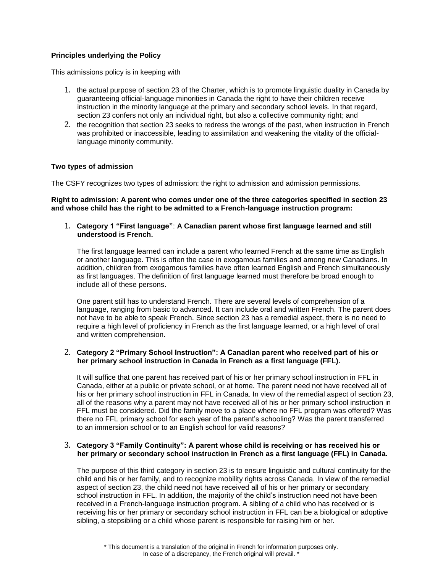# **Principles underlying the Policy**

This admissions policy is in keeping with

- 1. the actual purpose of section 23 of the Charter, which is to promote linguistic duality in Canada by guaranteeing official-language minorities in Canada the right to have their children receive instruction in the minority language at the primary and secondary school levels. In that regard, section 23 confers not only an individual right, but also a collective community right; and
- 2. the recognition that section 23 seeks to redress the wrongs of the past, when instruction in French was prohibited or inaccessible, leading to assimilation and weakening the vitality of the officiallanguage minority community.

#### **Two types of admission**

The CSFY recognizes two types of admission: the right to admission and admission permissions.

**Right to admission: A parent who comes under one of the three categories specified in section 23 and whose child has the right to be admitted to a French-language instruction program:**

1. **Category 1 "First language"**: **A Canadian parent whose first language learned and still understood is French.**

The first language learned can include a parent who learned French at the same time as English or another language. This is often the case in exogamous families and among new Canadians. In addition, children from exogamous families have often learned English and French simultaneously as first languages. The definition of first language learned must therefore be broad enough to include all of these persons.

One parent still has to understand French. There are several levels of comprehension of a language, ranging from basic to advanced. It can include oral and written French. The parent does not have to be able to speak French. Since section 23 has a remedial aspect, there is no need to require a high level of proficiency in French as the first language learned, or a high level of oral and written comprehension.

#### 2. **Category 2 "Primary School Instruction": A Canadian parent who received part of his or her primary school instruction in Canada in French as a first language (FFL).**

It will suffice that one parent has received part of his or her primary school instruction in FFL in Canada, either at a public or private school, or at home. The parent need not have received all of his or her primary school instruction in FFL in Canada. In view of the remedial aspect of section 23, all of the reasons why a parent may not have received all of his or her primary school instruction in FFL must be considered. Did the family move to a place where no FFL program was offered? Was there no FFL primary school for each year of the parent's schooling? Was the parent transferred to an immersion school or to an English school for valid reasons?

#### 3. **Category 3 "Family Continuity": A parent whose child is receiving or has received his or her primary or secondary school instruction in French as a first language (FFL) in Canada.**

The purpose of this third category in section 23 is to ensure linguistic and cultural continuity for the child and his or her family, and to recognize mobility rights across Canada. In view of the remedial aspect of section 23, the child need not have received all of his or her primary or secondary school instruction in FFL. In addition, the majority of the child's instruction need not have been received in a French-language instruction program. A sibling of a child who has received or is receiving his or her primary or secondary school instruction in FFL can be a biological or adoptive sibling, a stepsibling or a child whose parent is responsible for raising him or her.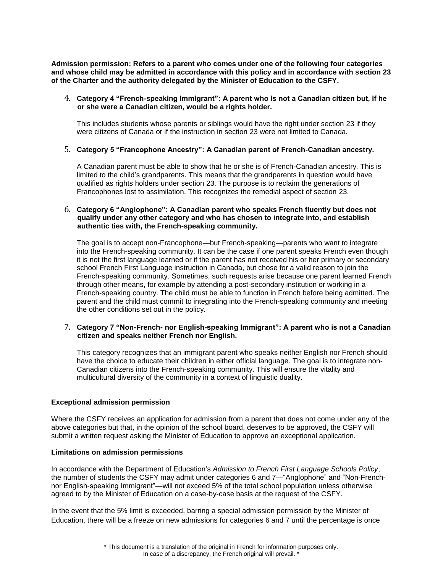**Admission permission: Refers to a parent who comes under one of the following four categories and whose child may be admitted in accordance with this policy and in accordance with section 23 of the Charter and the authority delegated by the Minister of Education to the CSFY.**

#### 4. **Category 4 "French-speaking Immigrant": A parent who is not a Canadian citizen but, if he or she were a Canadian citizen, would be a rights holder.**

This includes students whose parents or siblings would have the right under section 23 if they were citizens of Canada or if the instruction in section 23 were not limited to Canada.

#### 5. **Category 5 "Francophone Ancestry": A Canadian parent of French-Canadian ancestry.**

A Canadian parent must be able to show that he or she is of French-Canadian ancestry. This is limited to the child's grandparents. This means that the grandparents in question would have qualified as rights holders under section 23. The purpose is to reclaim the generations of Francophones lost to assimilation. This recognizes the remedial aspect of section 23.

#### 6. **Category 6 "Anglophone": A Canadian parent who speaks French fluently but does not qualify under any other category and who has chosen to integrate into, and establish authentic ties with, the French-speaking community.**

The goal is to accept non-Francophone—but French-speaking—parents who want to integrate into the French-speaking community. It can be the case if one parent speaks French even though it is not the first language learned or if the parent has not received his or her primary or secondary school French First Language instruction in Canada, but chose for a valid reason to join the French-speaking community. Sometimes, such requests arise because one parent learned French through other means, for example by attending a post-secondary institution or working in a French-speaking country. The child must be able to function in French before being admitted. The parent and the child must commit to integrating into the French-speaking community and meeting the other conditions set out in the policy.

#### 7. **Category 7 "Non-French- nor English-speaking Immigrant": A parent who is not a Canadian citizen and speaks neither French nor English.**

This category recognizes that an immigrant parent who speaks neither English nor French should have the choice to educate their children in either official language. The goal is to integrate non-Canadian citizens into the French-speaking community. This will ensure the vitality and multicultural diversity of the community in a context of linguistic duality.

#### **Exceptional admission permission**

Where the CSFY receives an application for admission from a parent that does not come under any of the above categories but that, in the opinion of the school board, deserves to be approved, the CSFY will submit a written request asking the Minister of Education to approve an exceptional application.

#### **Limitations on admission permissions**

In accordance with the Department of Education's *Admission to French First Language Schools Policy*, the number of students the CSFY may admit under categories 6 and 7—"Anglophone" and "Non-Frenchnor English-speaking Immigrant"—will not exceed 5% of the total school population unless otherwise agreed to by the Minister of Education on a case-by-case basis at the request of the CSFY.

In the event that the 5% limit is exceeded, barring a special admission permission by the Minister of Education, there will be a freeze on new admissions for categories 6 and 7 until the percentage is once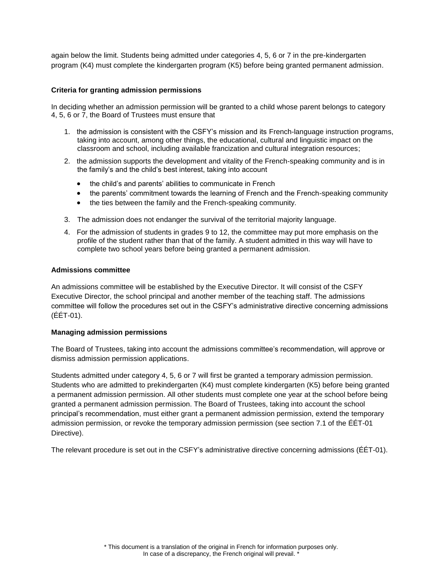again below the limit. Students being admitted under categories 4, 5, 6 or 7 in the pre-kindergarten program (K4) must complete the kindergarten program (K5) before being granted permanent admission.

#### **Criteria for granting admission permissions**

In deciding whether an admission permission will be granted to a child whose parent belongs to category 4, 5, 6 or 7, the Board of Trustees must ensure that

- 1. the admission is consistent with the CSFY's mission and its French-language instruction programs, taking into account, among other things, the educational, cultural and linguistic impact on the classroom and school, including available francization and cultural integration resources;
- 2. the admission supports the development and vitality of the French-speaking community and is in the family's and the child's best interest, taking into account
	- the child's and parents' abilities to communicate in French
	- the parents' commitment towards the learning of French and the French-speaking community
	- the ties between the family and the French-speaking community.
- 3. The admission does not endanger the survival of the territorial majority language.
- 4. For the admission of students in grades 9 to 12, the committee may put more emphasis on the profile of the student rather than that of the family. A student admitted in this way will have to complete two school years before being granted a permanent admission.

#### **Admissions committee**

An admissions committee will be established by the Executive Director. It will consist of the CSFY Executive Director, the school principal and another member of the teaching staff. The admissions committee will follow the procedures set out in the CSFY's administrative directive concerning admissions (ÉÉT-01).

#### **Managing admission permissions**

The Board of Trustees, taking into account the admissions committee's recommendation, will approve or dismiss admission permission applications.

Students admitted under category 4, 5, 6 or 7 will first be granted a temporary admission permission. Students who are admitted to prekindergarten (K4) must complete kindergarten (K5) before being granted a permanent admission permission. All other students must complete one year at the school before being granted a permanent admission permission. The Board of Trustees, taking into account the school principal's recommendation, must either grant a permanent admission permission, extend the temporary admission permission, or revoke the temporary admission permission (see section 7.1 of the ÉÉT-01 Directive).

The relevant procedure is set out in the CSFY's administrative directive concerning admissions (ÉÉT-01).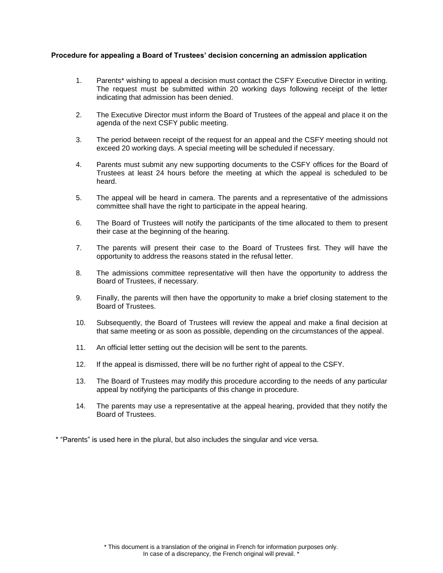#### **Procedure for appealing a Board of Trustees' decision concerning an admission application**

- 1. Parents\* wishing to appeal a decision must contact the CSFY Executive Director in writing. The request must be submitted within 20 working days following receipt of the letter indicating that admission has been denied.
- 2. The Executive Director must inform the Board of Trustees of the appeal and place it on the agenda of the next CSFY public meeting.
- 3. The period between receipt of the request for an appeal and the CSFY meeting should not exceed 20 working days. A special meeting will be scheduled if necessary.
- 4. Parents must submit any new supporting documents to the CSFY offices for the Board of Trustees at least 24 hours before the meeting at which the appeal is scheduled to be heard.
- 5. The appeal will be heard in camera. The parents and a representative of the admissions committee shall have the right to participate in the appeal hearing.
- 6. The Board of Trustees will notify the participants of the time allocated to them to present their case at the beginning of the hearing.
- 7. The parents will present their case to the Board of Trustees first. They will have the opportunity to address the reasons stated in the refusal letter.
- 8. The admissions committee representative will then have the opportunity to address the Board of Trustees, if necessary.
- 9. Finally, the parents will then have the opportunity to make a brief closing statement to the Board of Trustees.
- 10. Subsequently, the Board of Trustees will review the appeal and make a final decision at that same meeting or as soon as possible, depending on the circumstances of the appeal.
- 11. An official letter setting out the decision will be sent to the parents.
- 12. If the appeal is dismissed, there will be no further right of appeal to the CSFY.
- 13. The Board of Trustees may modify this procedure according to the needs of any particular appeal by notifying the participants of this change in procedure.
- 14. The parents may use a representative at the appeal hearing, provided that they notify the Board of Trustees.

\* "Parents" is used here in the plural, but also includes the singular and vice versa.